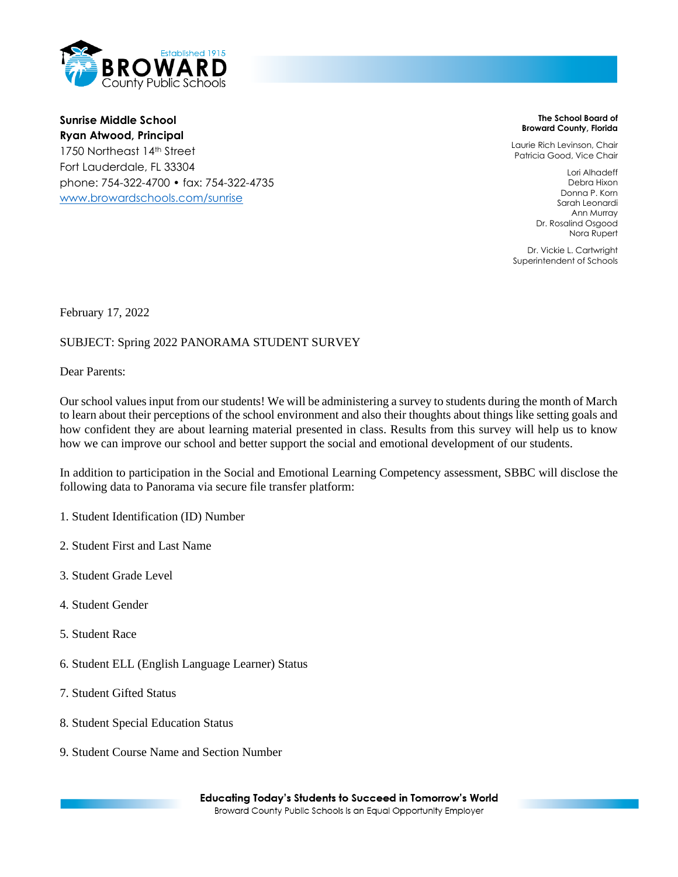

**Sunrise Middle School Ryan Atwood, Principal** 1750 Northeast 14th Street Fort Lauderdale, FL 33304 phone: 754-322-4700 • fax: 754-322-4735 [www.browardschools.com/sunrise](http://www.browardschools.com/sunrise)

**The School Board of Broward County, Florida**

Laurie Rich Levinson, Chair Patricia Good, Vice Chair

> Lori Alhadeff Debra Hixon Donna P. Korn Sarah Leonardi Ann Murray Dr. Rosalind Osgood Nora Rupert

Dr. Vickie L. Cartwright Superintendent of Schools

February 17, 2022

## SUBJECT: Spring 2022 PANORAMA STUDENT SURVEY

Dear Parents:

Our school values input from our students! We will be administering a survey to students during the month of March to learn about their perceptions of the school environment and also their thoughts about things like setting goals and how confident they are about learning material presented in class. Results from this survey will help us to know how we can improve our school and better support the social and emotional development of our students.

In addition to participation in the Social and Emotional Learning Competency assessment, SBBC will disclose the following data to Panorama via secure file transfer platform:

- 1. Student Identification (ID) Number
- 2. Student First and Last Name
- 3. Student Grade Level
- 4. Student Gender
- 5. Student Race
- 6. Student ELL (English Language Learner) Status
- 7. Student Gifted Status
- 8. Student Special Education Status
- 9. Student Course Name and Section Number